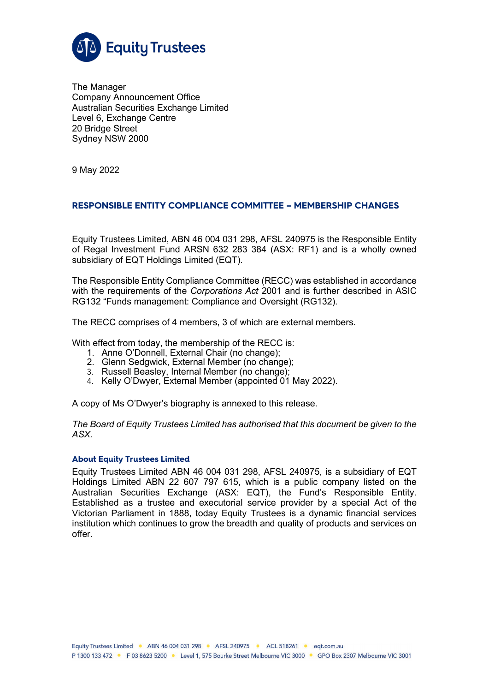

The Manager Company Announcement Office Australian Securities Exchange Limited Level 6, Exchange Centre 20 Bridge Street Sydney NSW 2000

9 May 2022

## **RESPONSIBLE ENTITY COMPLIANCE COMMITTEE – MEMBERSHIP CHANGES**

Equity Trustees Limited, ABN 46 004 031 298, AFSL 240975 is the Responsible Entity of Regal Investment Fund ARSN 632 283 384 (ASX: RF1) and is a wholly owned subsidiary of EQT Holdings Limited (EQT).

The Responsible Entity Compliance Committee (RECC) was established in accordance with the requirements of the *Corporations Act* 2001 and is further described in ASIC RG132 "Funds management: Compliance and Oversight (RG132).

The RECC comprises of 4 members, 3 of which are external members.

With effect from today, the membership of the RECC is:

- 1. Anne O'Donnell, External Chair (no change);
- 2. Glenn Sedgwick, External Member (no change);
- 3. Russell Beasley, Internal Member (no change);
- 4. Kelly O'Dwyer, External Member (appointed 01 May 2022).

A copy of Ms O'Dwyer's biography is annexed to this release.

*The Board of Equity Trustees Limited has authorised that this document be given to the ASX.*

## **About Equity Trustees Limited**

Equity Trustees Limited ABN 46 004 031 298, AFSL 240975, is a subsidiary of EQT Holdings Limited ABN 22 607 797 615, which is a public company listed on the Australian Securities Exchange (ASX: EQT), the Fund's Responsible Entity. Established as a trustee and executorial service provider by a special Act of the Victorian Parliament in 1888, today Equity Trustees is a dynamic financial services institution which continues to grow the breadth and quality of products and services on offer.